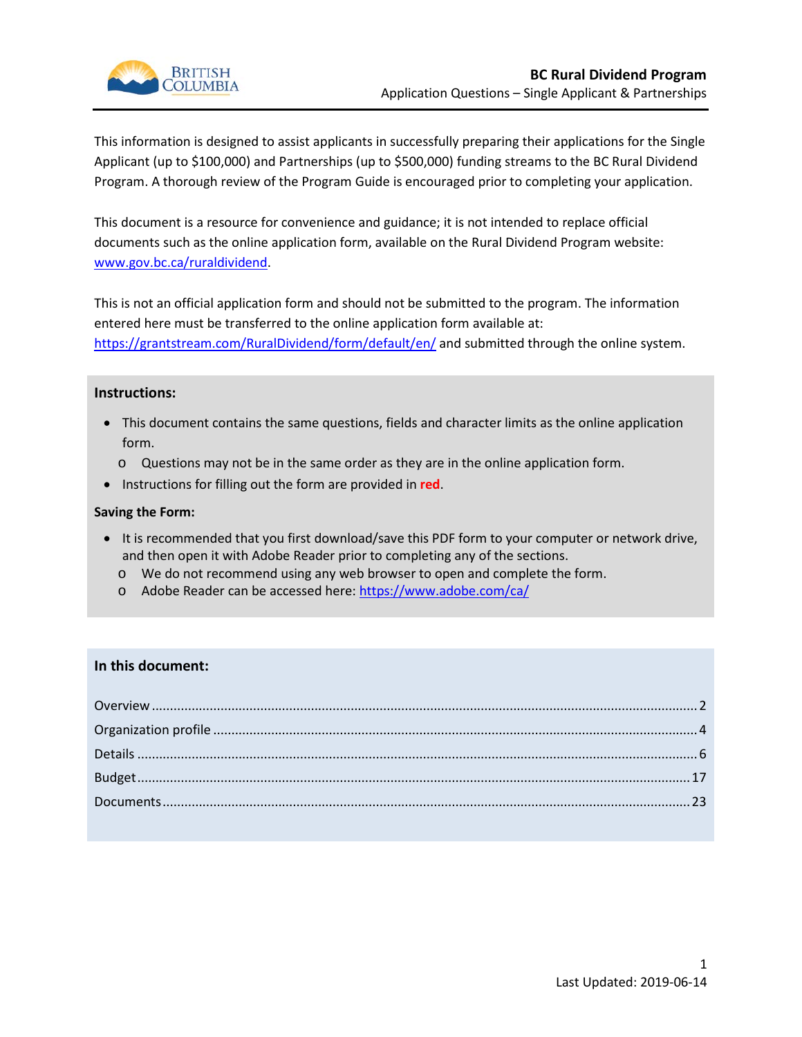

This information is designed to assist applicants in successfully preparing their applications for the Single Applicant (up to \$100,000) and Partnerships (up to \$500,000) funding streams to the BC Rural Dividend Program. A thorough review of the Program Guide is encouraged prior to completing your application.

This document is a resource for convenience and guidance; it is not intended to replace official documents such as the online application form, available on the Rural Dividend Program website: [www.gov.bc.ca/ruraldividend.](http://www.gov.bc.ca/ruraldividend) 

This is not an official application form and should not be submitted to the program. The information entered here must be transferred to the online application form available at: <https://grantstream.com/RuralDividend/form/default/en/> and submitted through the online system.

## **Instructions:**

- This document contains the same questions, fields and character limits as the online application form.
	- o Questions may not be in the same order as they are in the online application form.
- Instructions for filling out the form are provided in **red**.

#### **Saving the Form:**

- It is recommended that you first download/save this PDF form to your computer or network drive, and then open it with Adobe Reader prior to completing any of the sections.
	- o We do not recommend using any web browser to open and complete the form.
	- o Adobe Reader can be accessed here:<https://www.adobe.com/ca/>

## **In this document:**

<span id="page-0-0"></span>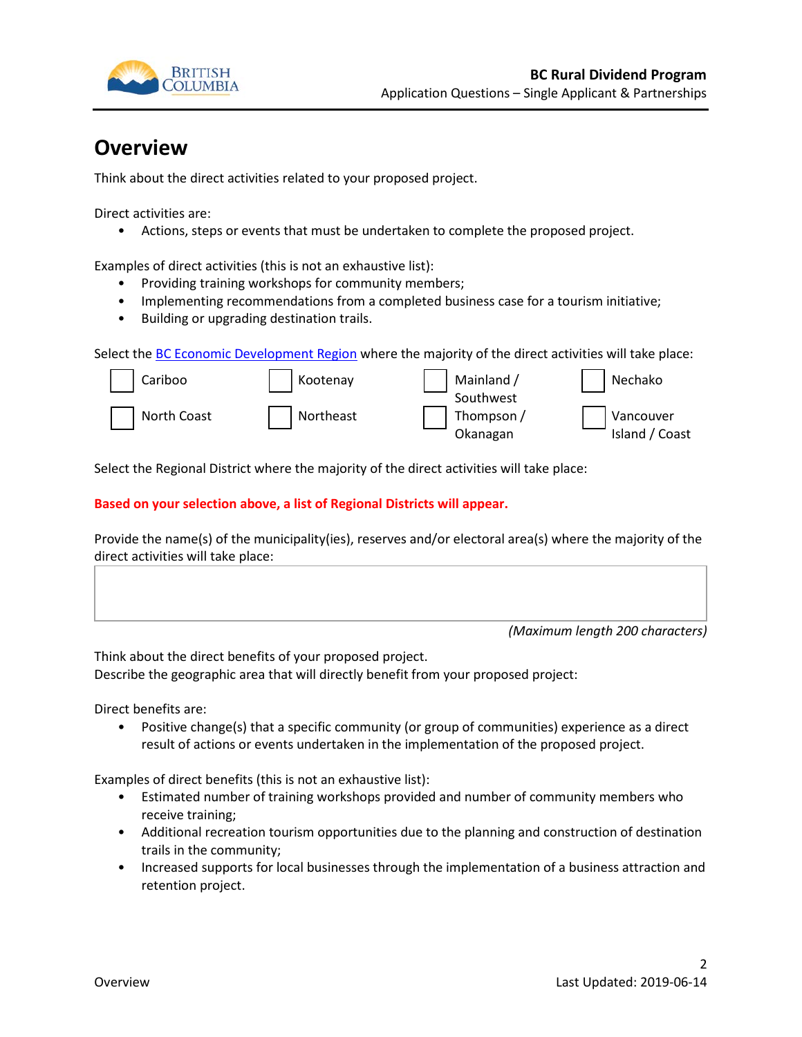

## **Overview**

Think about the direct activities related to your proposed project.

Direct activities are:

• Actions, steps or events that must be undertaken to complete the proposed project.

Examples of direct activities (this is not an exhaustive list):

- Providing training workshops for community members;
- Implementing recommendations from a completed business case for a tourism initiative;
- Building or upgrading destination trails.

Select the [BC Economic Development Region](https://www2.gov.bc.ca/gov/content/data/geographic-data-services/land-use/administrative-boundaries/census-boundaries) where the majority of the direct activities will take place:



Select the Regional District where the majority of the direct activities will take place:

## **Based on your selection above, a list of Regional Districts will appear.**

Provide the name(s) of the municipality(ies), reserves and/or electoral area(s) where the majority of the direct activities will take place:

*(Maximum length 200 characters)*

Think about the direct benefits of your proposed project.

Describe the geographic area that will directly benefit from your proposed project:

Direct benefits are:

• Positive change(s) that a specific community (or group of communities) experience as a direct result of actions or events undertaken in the implementation of the proposed project.

Examples of direct benefits (this is not an exhaustive list):

- Estimated number of training workshops provided and number of community members who receive training;
- Additional recreation tourism opportunities due to the planning and construction of destination trails in the community;
- Increased supports for local businesses through the implementation of a business attraction and retention project.

 $\mathfrak{p}$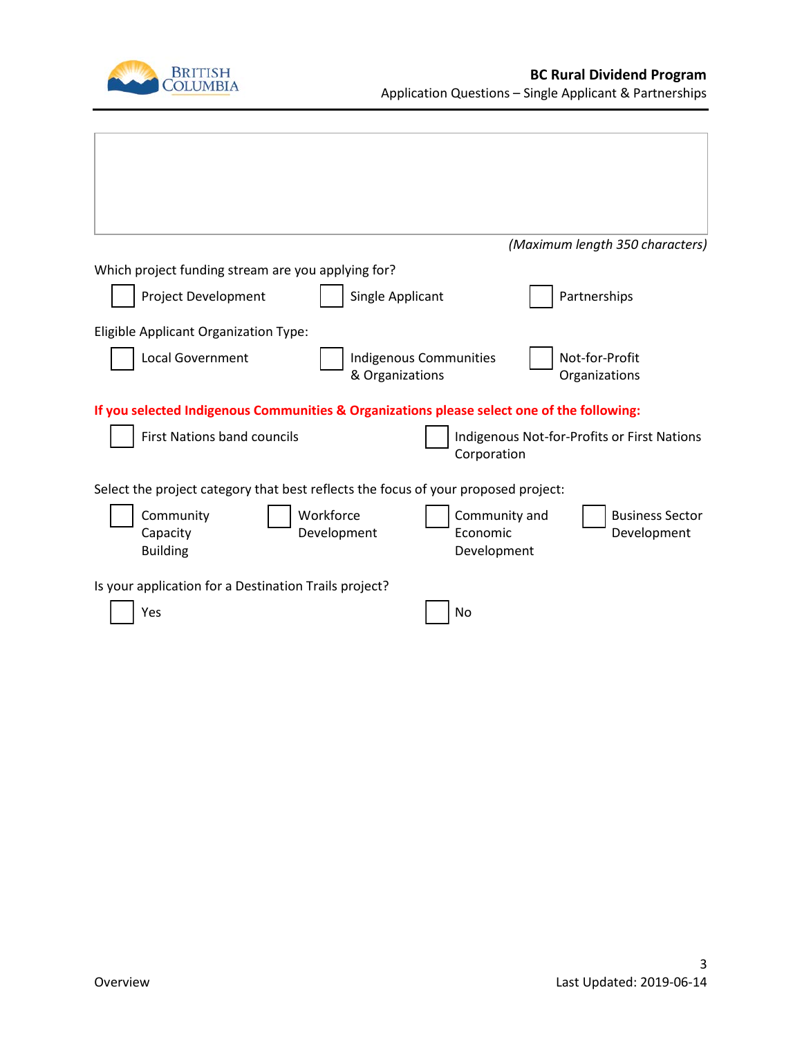

|                                                                                                                                  | (Maximum length 350 characters)                                       |
|----------------------------------------------------------------------------------------------------------------------------------|-----------------------------------------------------------------------|
| Which project funding stream are you applying for?                                                                               |                                                                       |
| Project Development<br>Single Applicant                                                                                          | Partnerships                                                          |
| Eligible Applicant Organization Type:                                                                                            |                                                                       |
| Local Government<br>Indigenous Communities<br>& Organizations                                                                    | Not-for-Profit<br>Organizations                                       |
| If you selected Indigenous Communities & Organizations please select one of the following:<br><b>First Nations band councils</b> | Indigenous Not-for-Profits or First Nations<br>Corporation            |
| Select the project category that best reflects the focus of your proposed project:                                               |                                                                       |
| Workforce<br>Community<br>Development<br>Economic<br>Capacity<br><b>Building</b>                                                 | Community and<br><b>Business Sector</b><br>Development<br>Development |
| Is your application for a Destination Trails project?<br>No<br>Yes                                                               |                                                                       |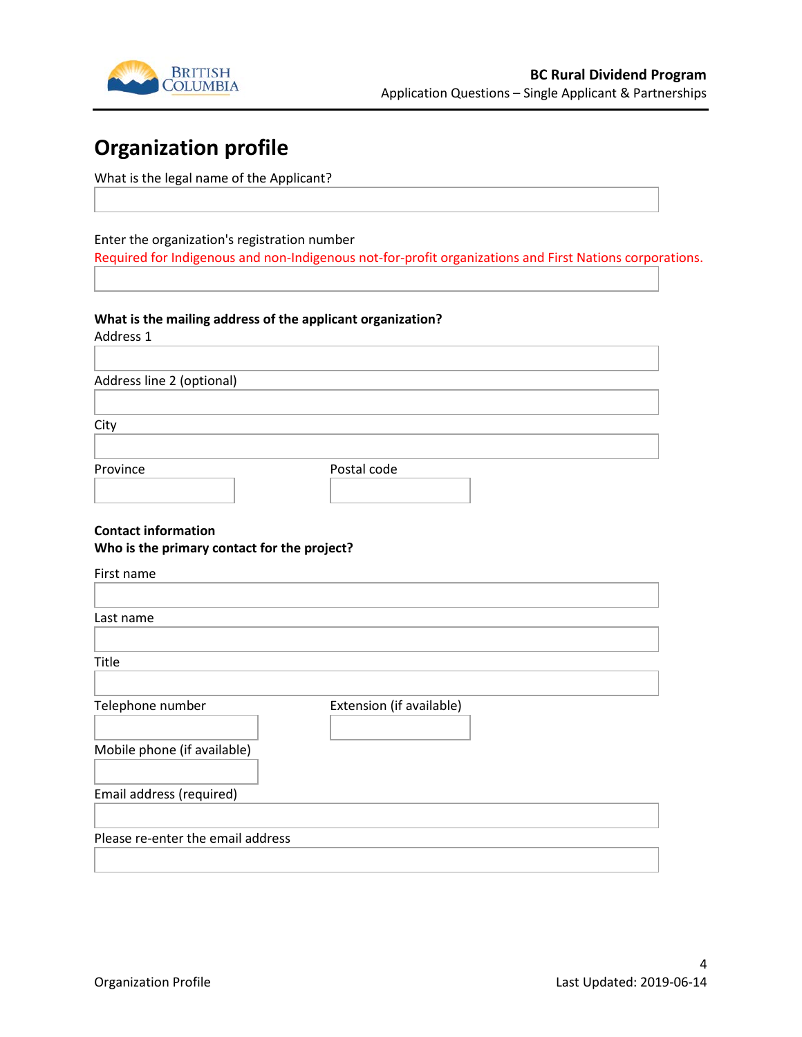<span id="page-3-0"></span>

# **Organization profile**

What is the legal name of the Applicant?

#### Enter the organization's registration number

Required for Indigenous and non-Indigenous not-for-profit organizations and First Nations corporations.

## **What is the mailing address of the applicant organization?**

| Address 1 |  |
|-----------|--|
|           |  |

Address line 2 (optional)

**City** 

Province Postal code

## **Contact information Who is the primary contact for the project?**

| First name                        |                          |
|-----------------------------------|--------------------------|
|                                   |                          |
| Last name                         |                          |
|                                   |                          |
| Title                             |                          |
|                                   |                          |
| Telephone number                  | Extension (if available) |
|                                   |                          |
| Mobile phone (if available)       |                          |
|                                   |                          |
| Email address (required)          |                          |
|                                   |                          |
| Please re-enter the email address |                          |
|                                   |                          |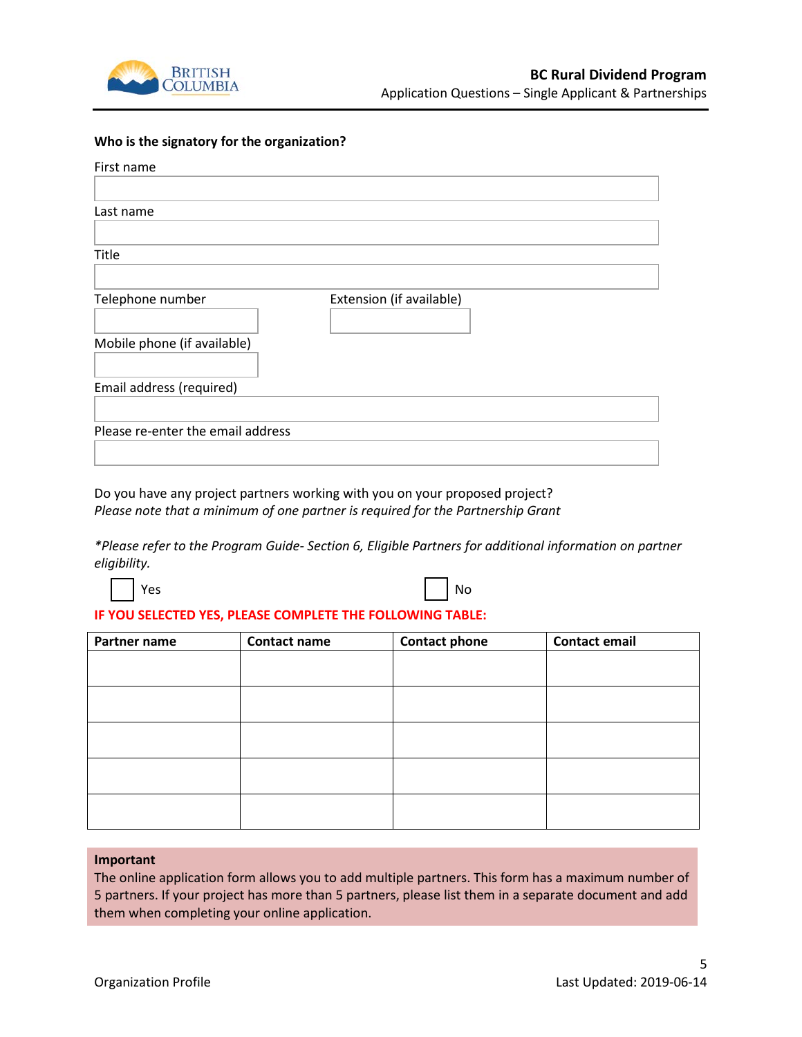

#### **Who is the signatory for the organization?**

| Extension (if available) |
|--------------------------|
|                          |
|                          |
|                          |
|                          |
|                          |
|                          |
|                          |
|                          |

Do you have any project partners working with you on your proposed project? *Please note that a minimum of one partner is required for the Partnership Grant*

*\*Please refer to the Program Guide- Section 6, Eligible Partners for additional information on partner eligibility.*



## **IF YOU SELECTED YES, PLEASE COMPLETE THE FOLLOWING TABLE:**

| Partner name | <b>Contact name</b> | <b>Contact phone</b> | <b>Contact email</b> |
|--------------|---------------------|----------------------|----------------------|
|              |                     |                      |                      |
|              |                     |                      |                      |
|              |                     |                      |                      |
|              |                     |                      |                      |
|              |                     |                      |                      |

#### **Important**

The online application form allows you to add multiple partners. This form has a maximum number of 5 partners. If your project has more than 5 partners, please list them in a separate document and add them when completing your online application.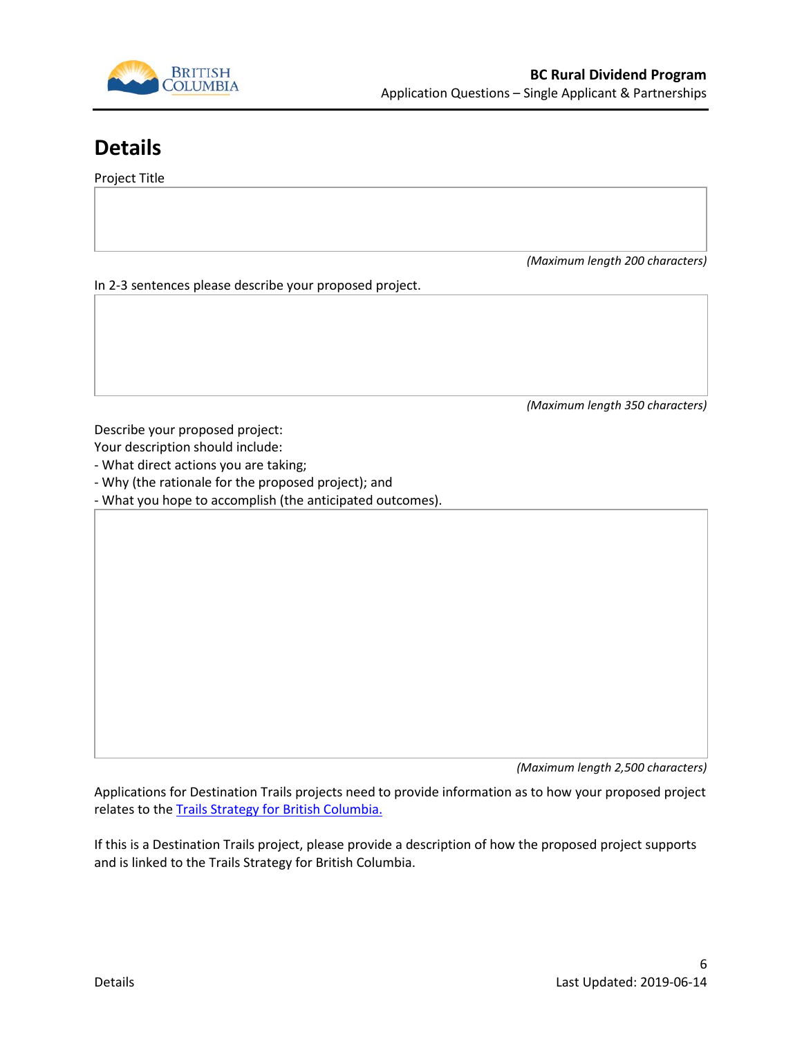<span id="page-5-0"></span>

# **Details**

Project Title

*(Maximum length 200 characters)*

In 2-3 sentences please describe your proposed project.

*(Maximum length 350 characters)*

Describe your proposed project:

Your description should include:

- What direct actions you are taking;

- Why (the rationale for the proposed project); and

- What you hope to accomplish (the anticipated outcomes).

*(Maximum length 2,500 characters)*

Applications for Destination Trails projects need to provide information as to how your proposed project relates to th[e Trails Strategy for British Columbia.](http://www.sitesandtrailsbc.ca/documents/Trail-Strategy-for-BC_V6_Nov2012.pdf) 

If this is a Destination Trails project, please provide a description of how the proposed project supports and is linked to the Trails Strategy for British Columbia.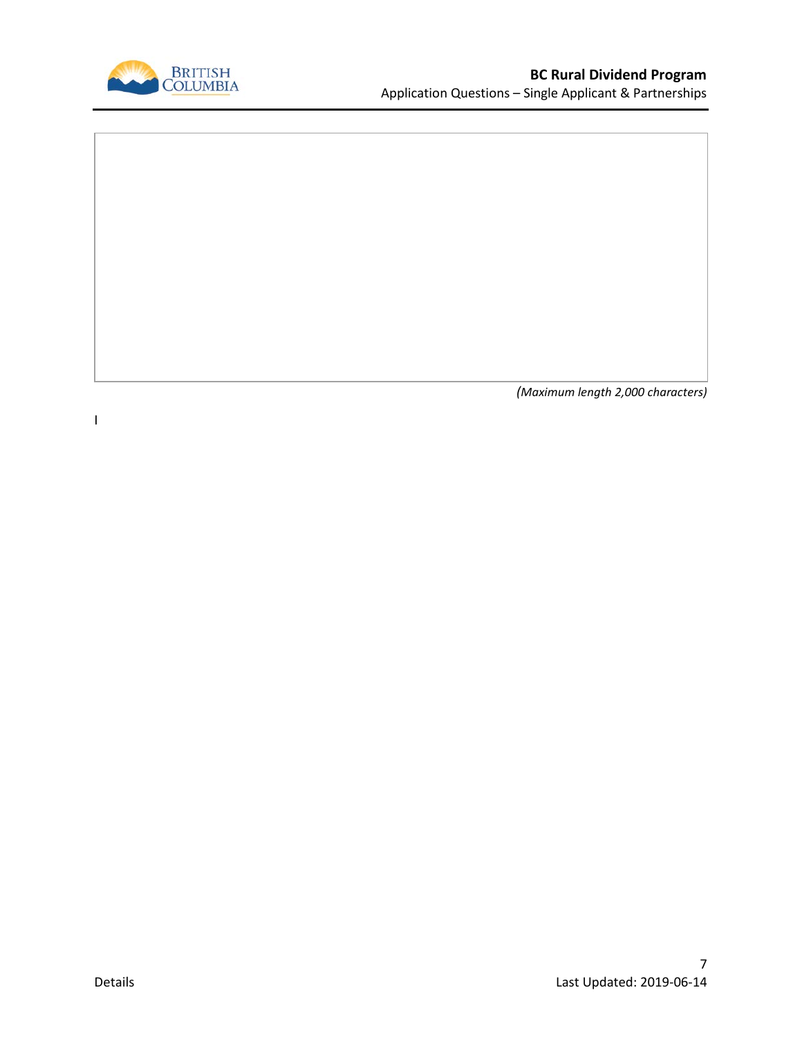

 *(Maximum length 2,000 characters)*

I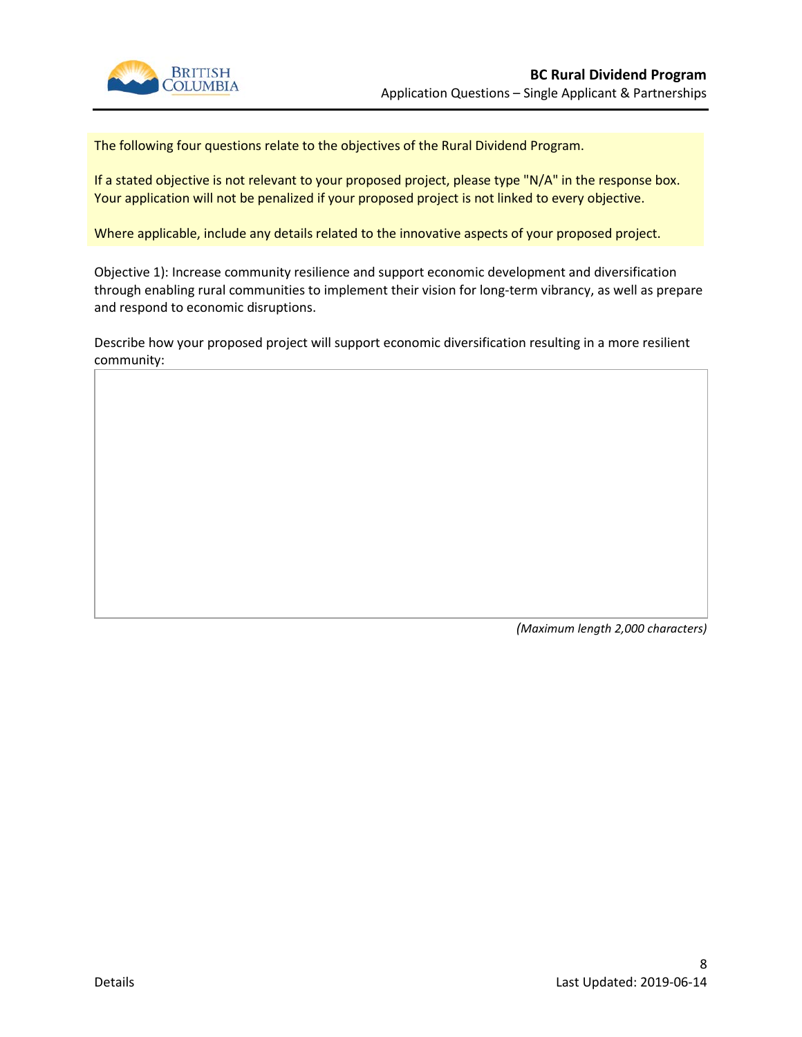

The following four questions relate to the objectives of the Rural Dividend Program.

If a stated objective is not relevant to your proposed project, please type "N/A" in the response box. Your application will not be penalized if your proposed project is not linked to every objective.

Where applicable, include any details related to the innovative aspects of your proposed project.

Objective 1): Increase community resilience and support economic development and diversification through enabling rural communities to implement their vision for long-term vibrancy, as well as prepare and respond to economic disruptions.

Describe how your proposed project will support economic diversification resulting in a more resilient community: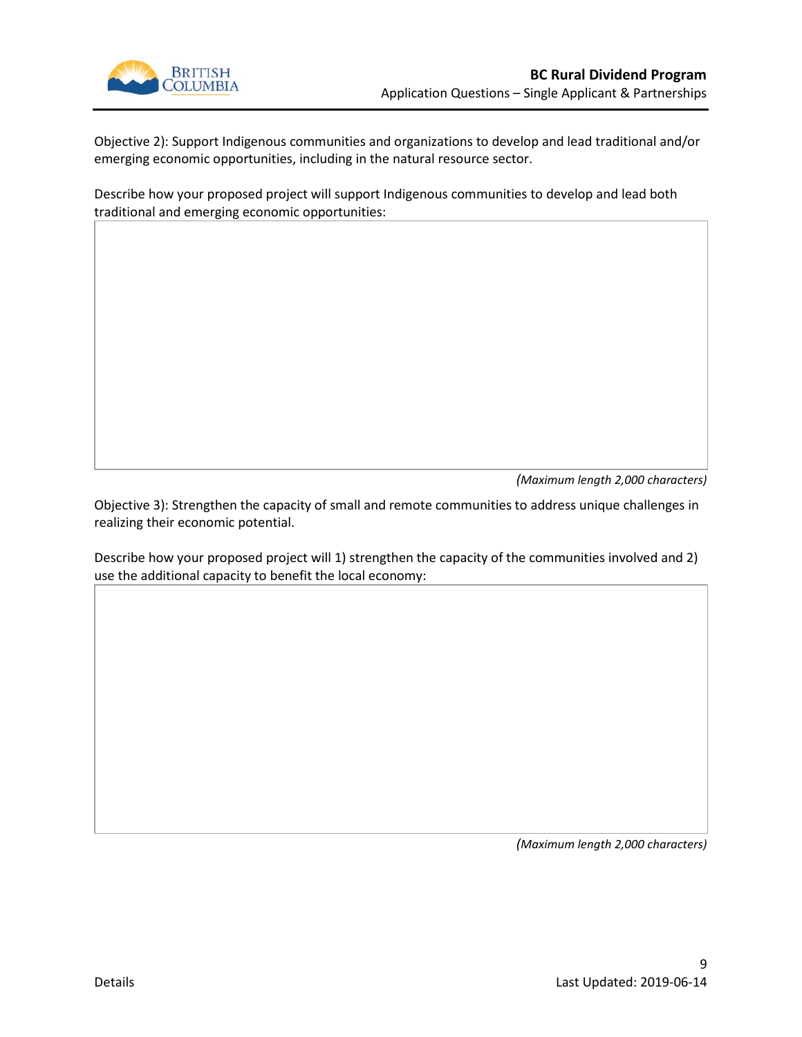

Objective 2): Support Indigenous communities and organizations to develop and lead traditional and/or emerging economic opportunities, including in the natural resource sector.

Describe how your proposed project will support Indigenous communities to develop and lead both traditional and emerging economic opportunities:

 *(Maximum length 2,000 characters)*

Objective 3): Strengthen the capacity of small and remote communities to address unique challenges in realizing their economic potential.

Describe how your proposed project will 1) strengthen the capacity of the communities involved and 2) use the additional capacity to benefit the local economy: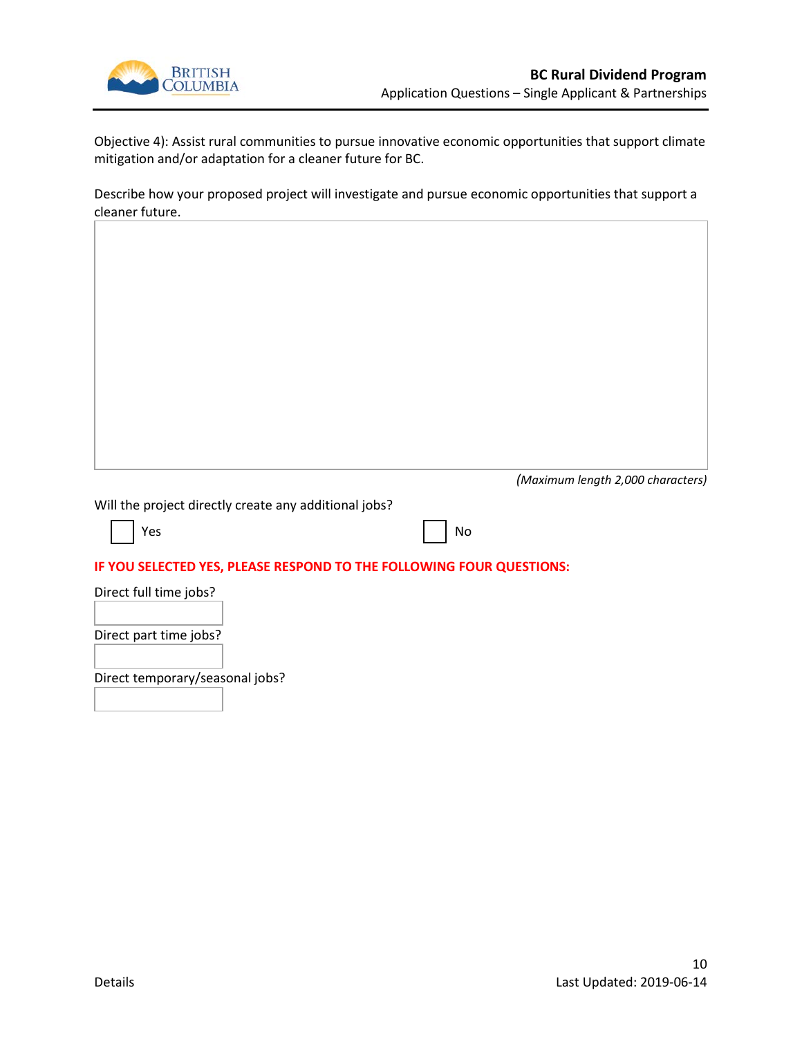

Objective 4): Assist rural communities to pursue innovative economic opportunities that support climate mitigation and/or adaptation for a cleaner future for BC.

Describe how your proposed project will investigate and pursue economic opportunities that support a cleaner future.

 *(Maximum length 2,000 characters)*

Will the project directly create any additional jobs?



| Yes | No

**IF YOU SELECTED YES, PLEASE RESPOND TO THE FOLLOWING FOUR QUESTIONS:** 

Direct full time jobs?

Direct part time jobs?

Direct temporary/seasonal jobs?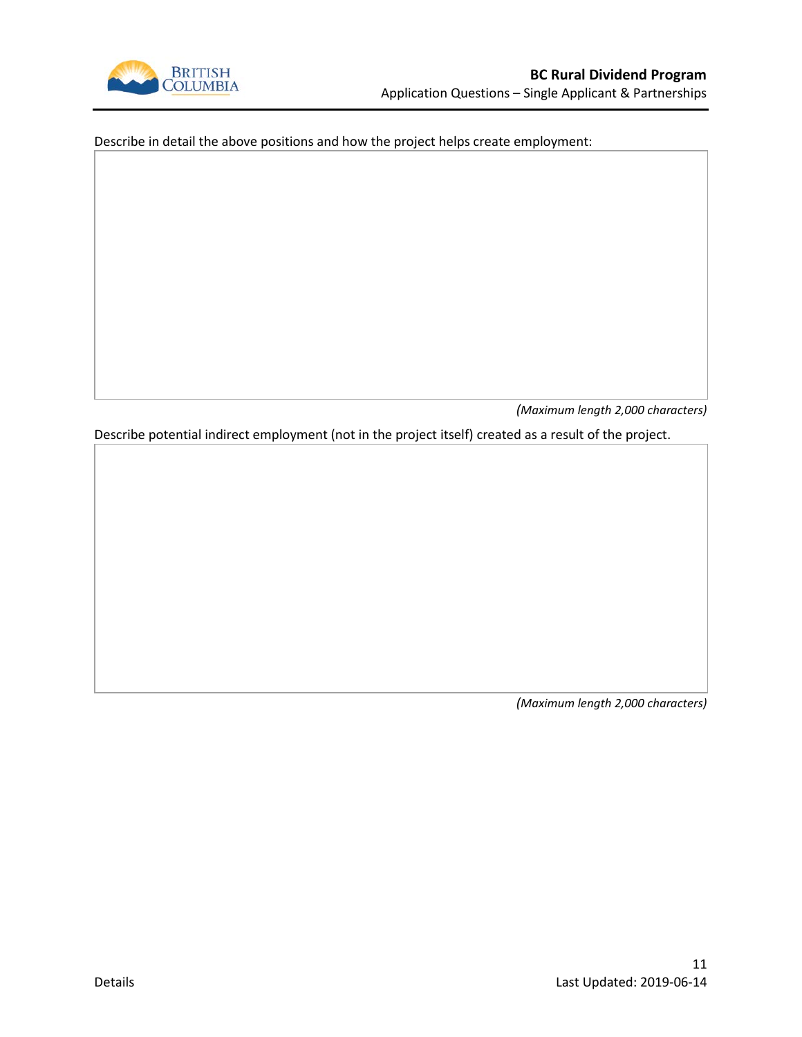

Describe in detail the above positions and how the project helps create employment:

 *(Maximum length 2,000 characters)*

Describe potential indirect employment (not in the project itself) created as a result of the project.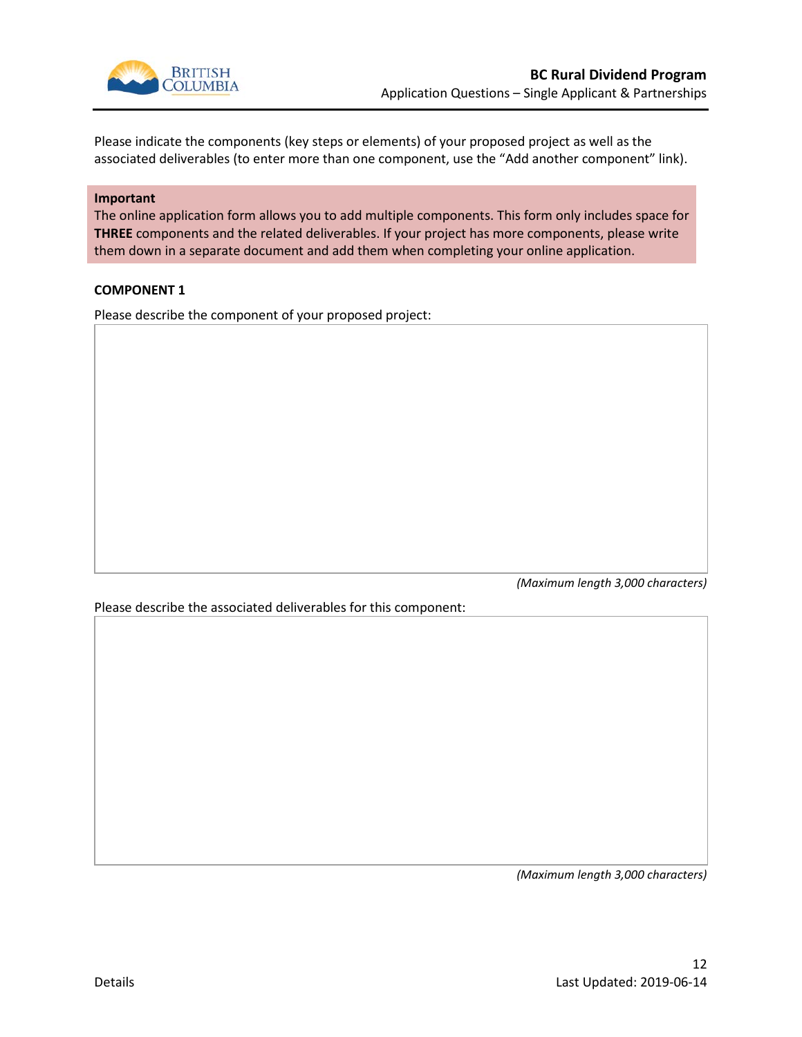

Please indicate the components (key steps or elements) of your proposed project as well as the associated deliverables (to enter more than one component, use the "Add another component" link).

#### **Important**

The online application form allows you to add multiple components. This form only includes space for **THREE** components and the related deliverables. If your project has more components, please write them down in a separate document and add them when completing your online application.

#### **COMPONENT 1**

Please describe the component of your proposed project:

*(Maximum length 3,000 characters)*

Please describe the associated deliverables for this component: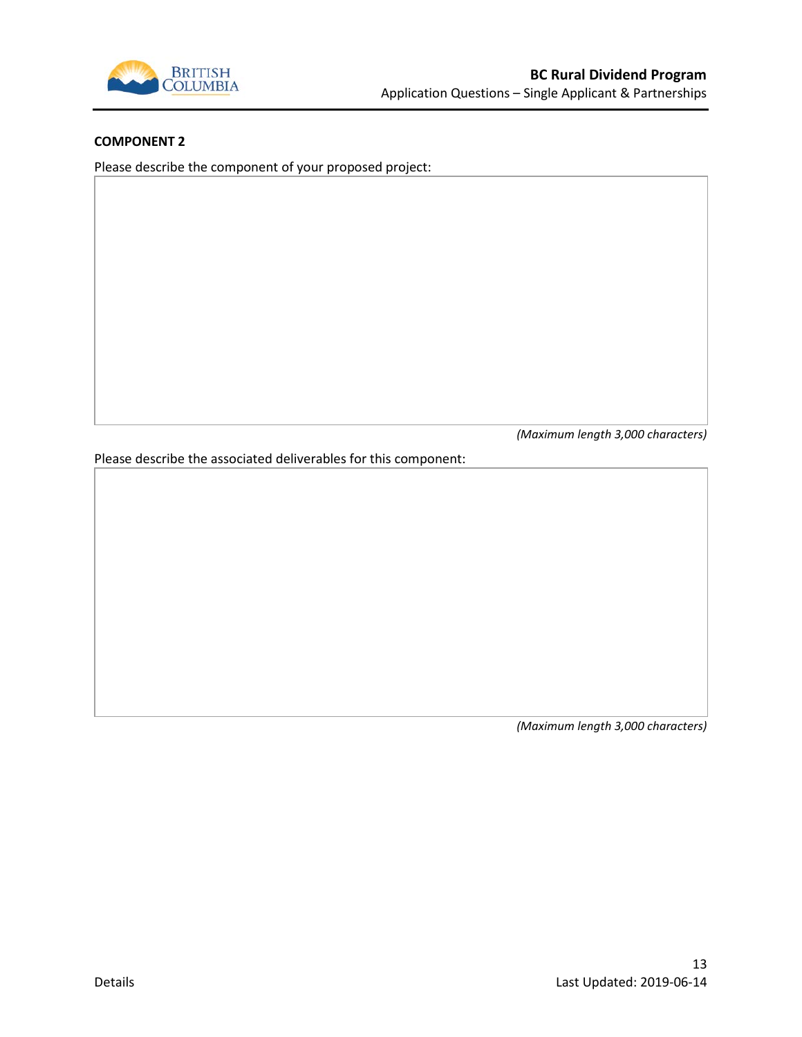

## **COMPONENT 2**

Please describe the component of your proposed project:

*(Maximum length 3,000 characters)*

Please describe the associated deliverables for this component: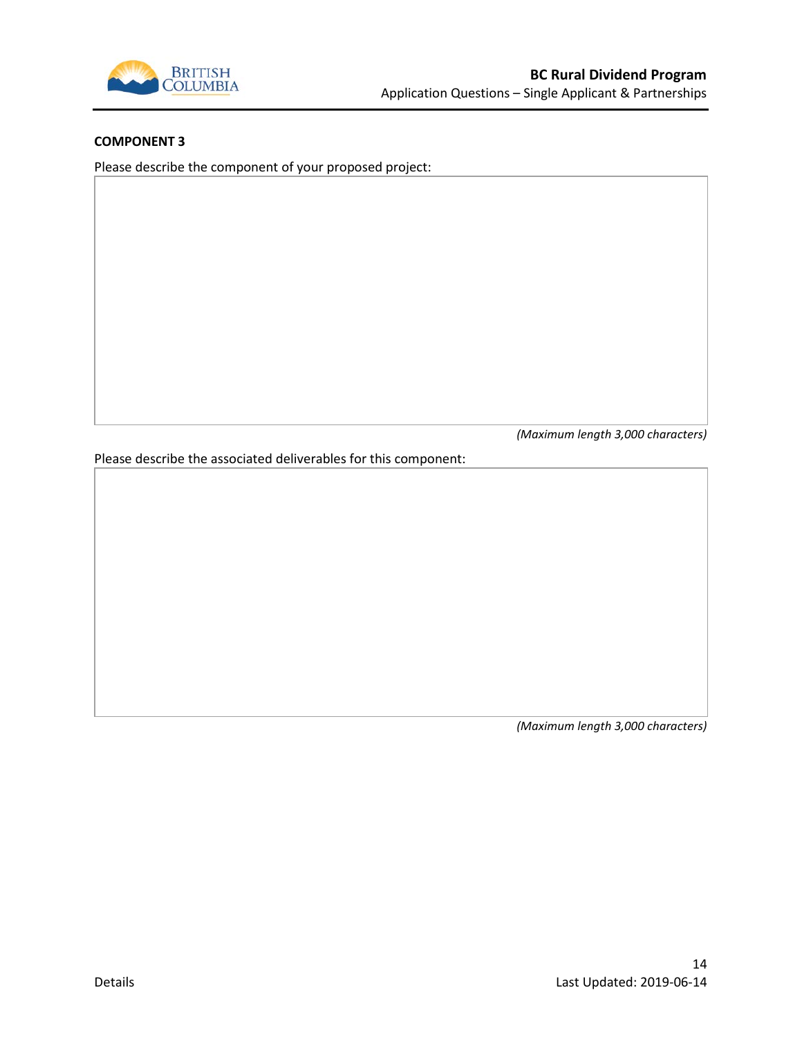

## **COMPONENT 3**

Please describe the component of your proposed project:

*(Maximum length 3,000 characters)*

Please describe the associated deliverables for this component: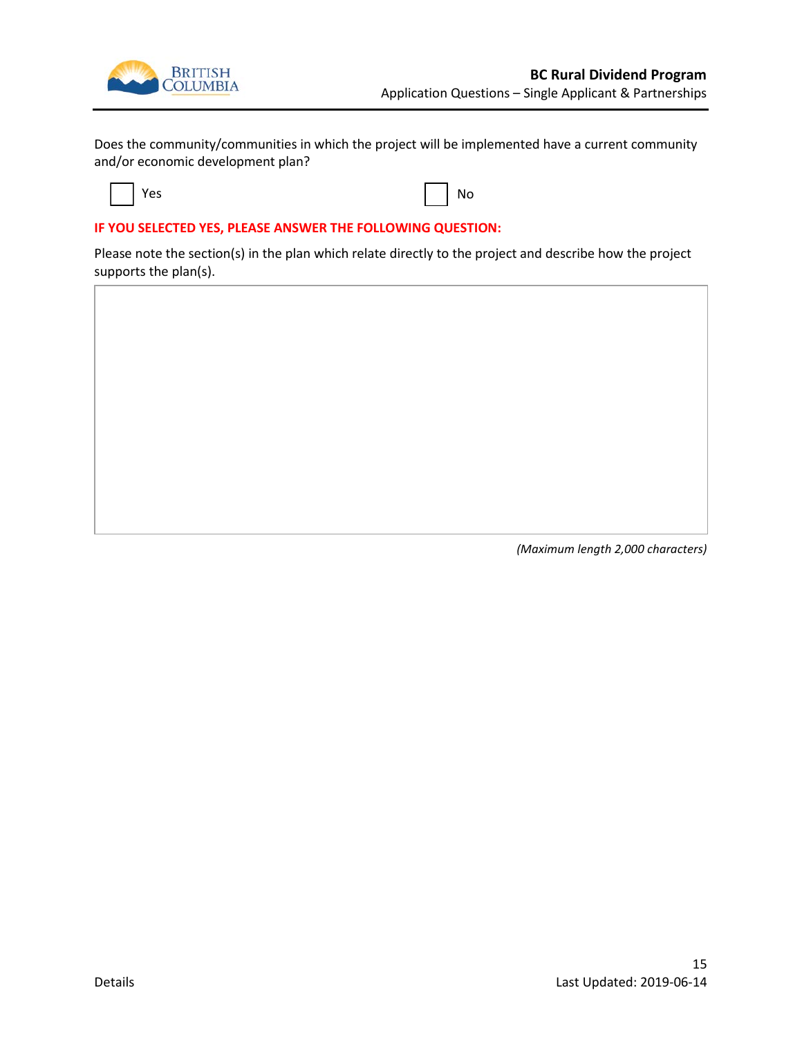

Does the community/communities in which the project will be implemented have a current community and/or economic development plan?

| $\Box$ No<br>Yes |  |
|------------------|--|
|------------------|--|

## **IF YOU SELECTED YES, PLEASE ANSWER THE FOLLOWING QUESTION:**

Please note the section(s) in the plan which relate directly to the project and describe how the project supports the plan(s).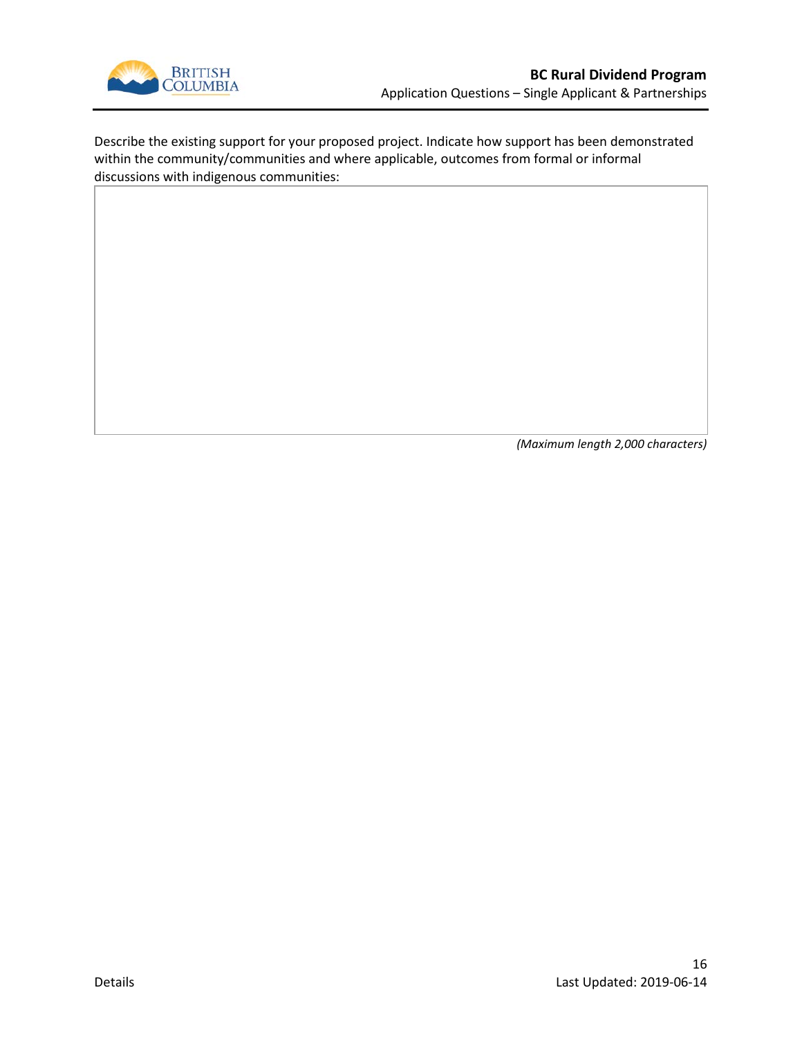

Describe the existing support for your proposed project. Indicate how support has been demonstrated within the community/communities and where applicable, outcomes from formal or informal discussions with indigenous communities: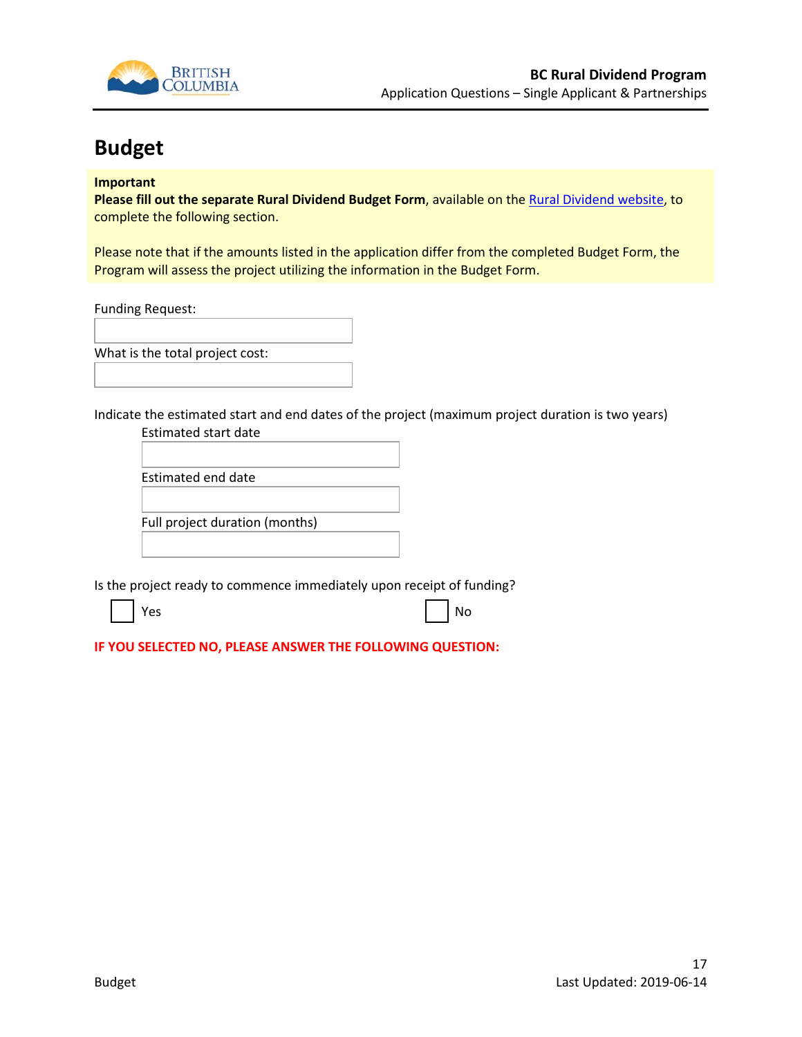<span id="page-16-0"></span>

## **Budget**

## **Important**

**Please fill out the separate Rural Dividend Budget Form**, available on the [Rural Dividend website,](https://www2.gov.bc.ca/gov/content/employment-business/economic-development/support-organizations-community-partners/rural-economic-development/rural-dividend) to complete the following section.

Please note that if the amounts listed in the application differ from the completed Budget Form, the Program will assess the project utilizing the information in the Budget Form.

Funding Request:

What is the total project cost:

Indicate the estimated start and end dates of the project (maximum project duration is two years) Estimated start date

| ESUMIdley Start yate           |
|--------------------------------|
|                                |
| Estimated end date             |
|                                |
| Full project duration (months) |
|                                |
|                                |

Is the project ready to commence immediately upon receipt of funding?

|  | $\vert$ Yes |  | $\vert$ $\vert$ No |
|--|-------------|--|--------------------|
|--|-------------|--|--------------------|

**IF YOU SELECTED NO, PLEASE ANSWER THE FOLLOWING QUESTION:**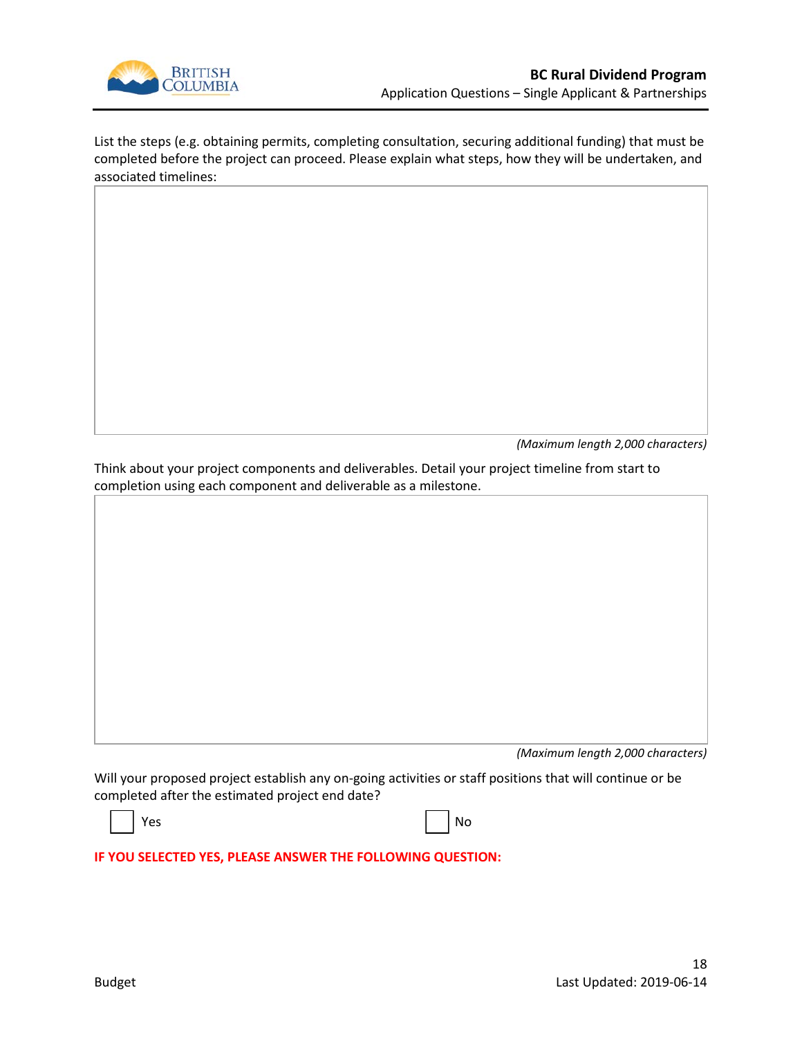

List the steps (e.g. obtaining permits, completing consultation, securing additional funding) that must be completed before the project can proceed. Please explain what steps, how they will be undertaken, and associated timelines:

*(Maximum length 2,000 characters)*

Think about your project components and deliverables. Detail your project timeline from start to completion using each component and deliverable as a milestone.

*(Maximum length 2,000 characters)*

Will your proposed project establish any on-going activities or staff positions that will continue or be completed after the estimated project end date?



**IF YOU SELECTED YES, PLEASE ANSWER THE FOLLOWING QUESTION:**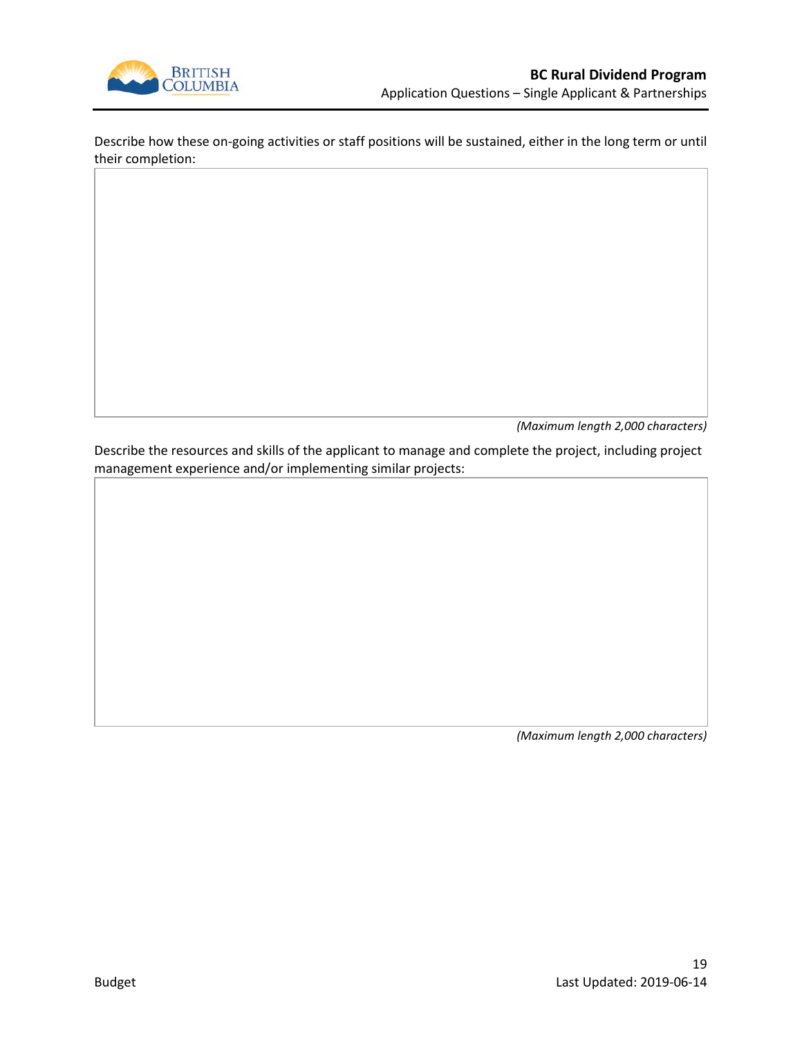

Describe how these on-going activities or staff positions will be sustained, either in the long term or until their completion:

*(Maximum length 2,000 characters)*

Describe the resources and skills of the applicant to manage and complete the project, including project management experience and/or implementing similar projects: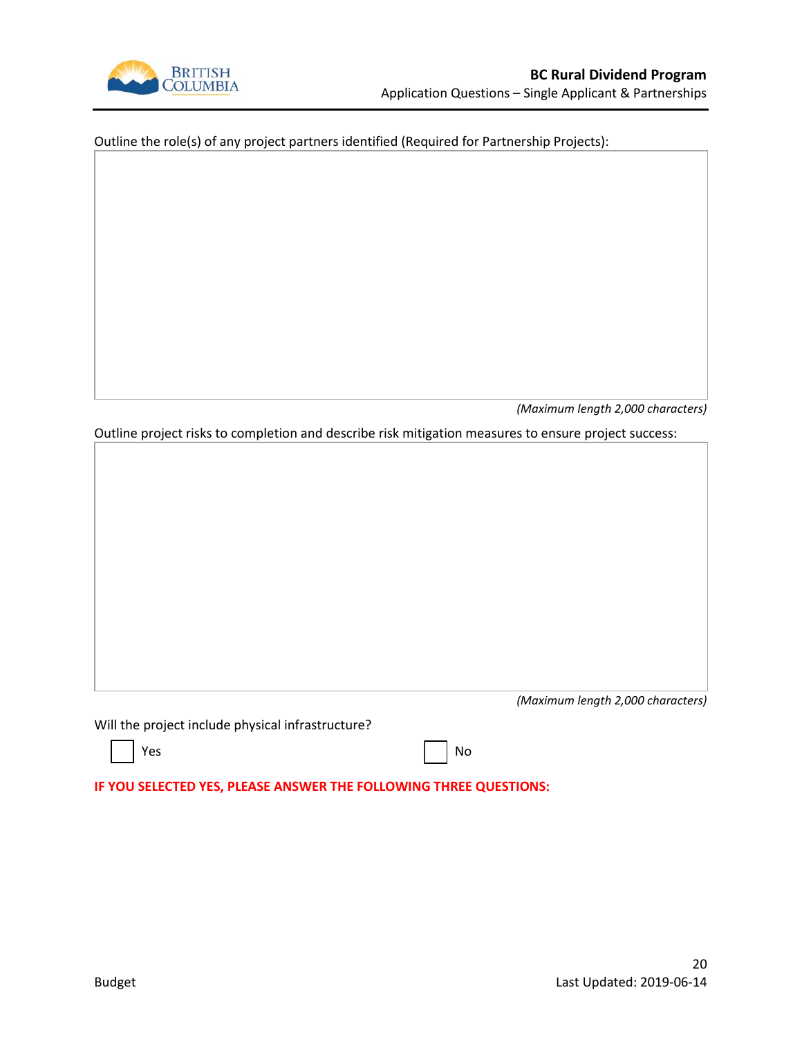

Outline the role(s) of any project partners identified (Required for Partnership Projects):

*(Maximum length 2,000 characters)*

Outline project risks to completion and describe risk mitigation measures to ensure project success:

*(Maximum length 2,000 characters)*

Will the project include physical infrastructure?

| Yes | No

**IF YOU SELECTED YES, PLEASE ANSWER THE FOLLOWING THREE QUESTIONS:**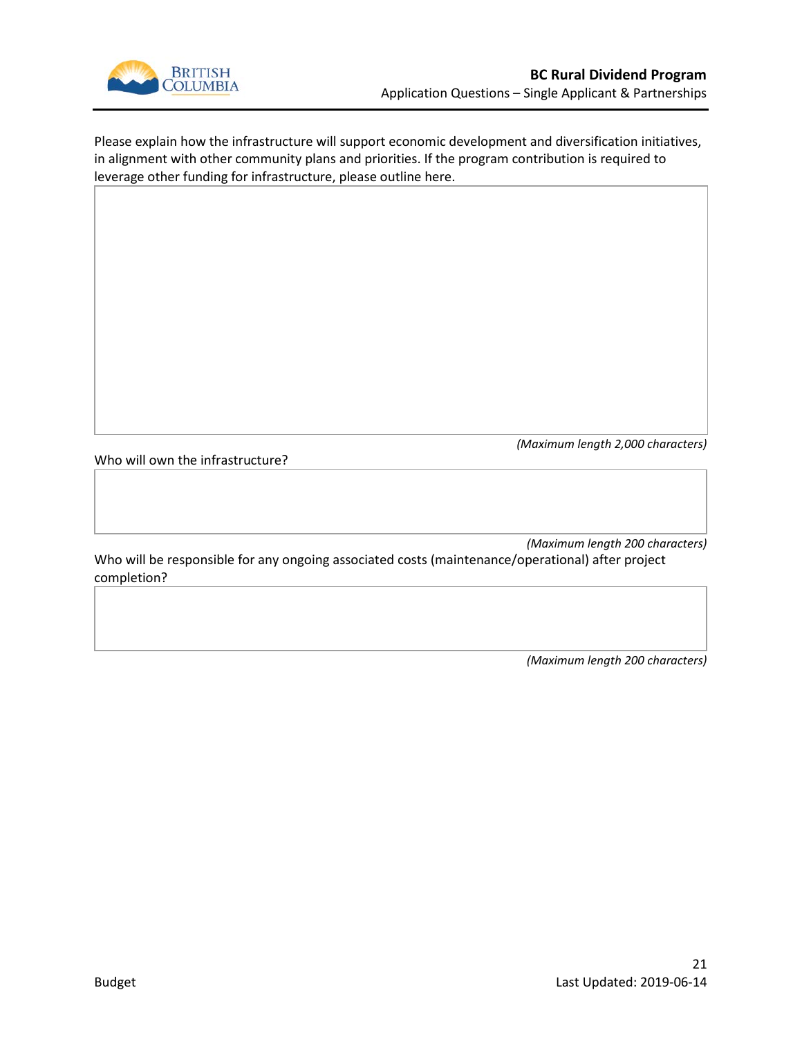

Please explain how the infrastructure will support economic development and diversification initiatives, in alignment with other community plans and priorities. If the program contribution is required to leverage other funding for infrastructure, please outline here.

Who will own the infrastructure?

*(Maximum length 2,000 characters)*

*(Maximum length 200 characters)* Who will be responsible for any ongoing associated costs (maintenance/operational) after project completion?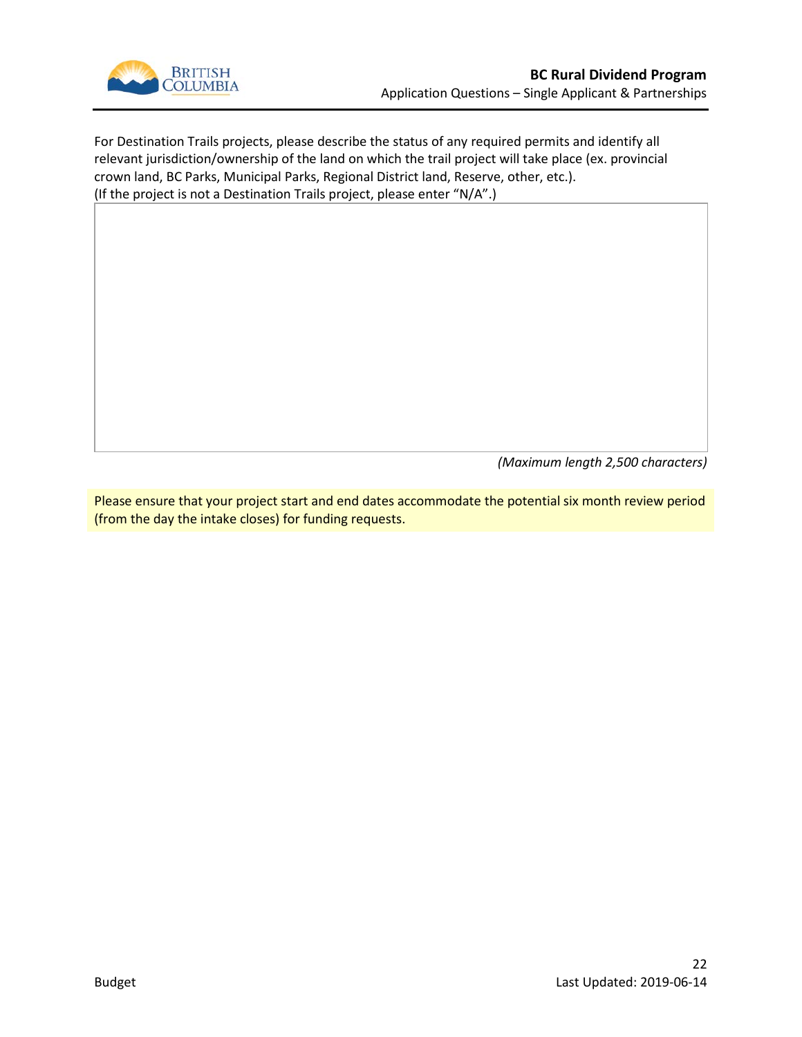

For Destination Trails projects, please describe the status of any required permits and identify all relevant jurisdiction/ownership of the land on which the trail project will take place (ex. provincial crown land, BC Parks, Municipal Parks, Regional District land, Reserve, other, etc.). (If the project is not a Destination Trails project, please enter "N/A".)

*(Maximum length 2,500 characters)*

Please ensure that your project start and end dates accommodate the potential six month review period (from the day the intake closes) for funding requests.